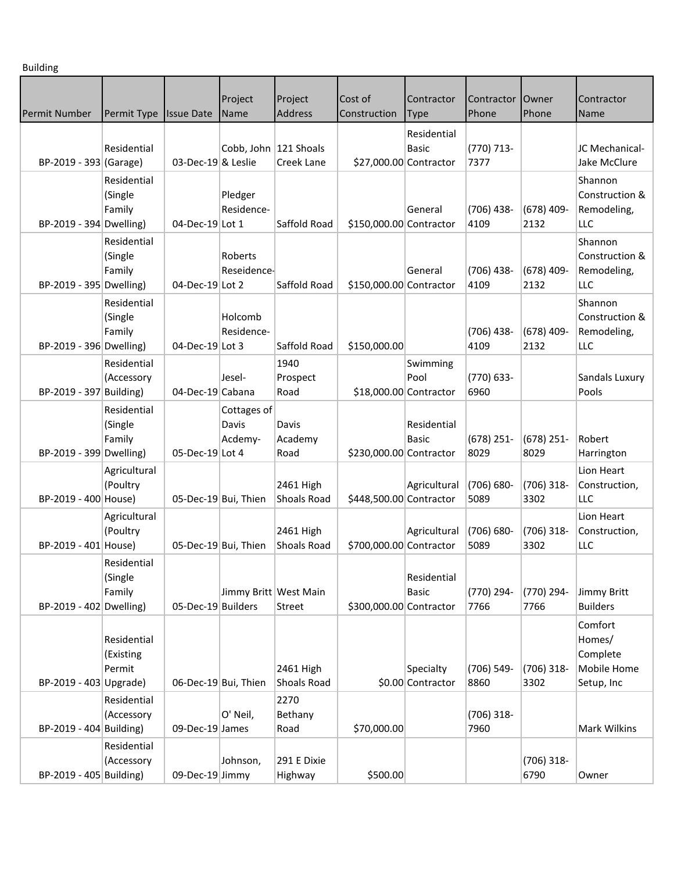Building

| Permit Number           |                                    | <b>Issue Date</b>    | Project<br>Name                 | Project<br>Address       | Cost of<br>Construction | Contractor                     | Contractor<br>Phone  | <b>Owner</b><br>Phone | Contractor                                                 |
|-------------------------|------------------------------------|----------------------|---------------------------------|--------------------------|-------------------------|--------------------------------|----------------------|-----------------------|------------------------------------------------------------|
|                         | Permit Type                        |                      |                                 |                          |                         | <b>Type</b>                    |                      |                       | Name                                                       |
| BP-2019 - 393 (Garage)  | Residential                        | 03-Dec-19 & Leslie   | Cobb, John 121 Shoals           | Creek Lane               | \$27,000.00 Contractor  | Residential<br><b>Basic</b>    | (770) 713-<br>7377   |                       | JC Mechanical-<br>Jake McClure                             |
| BP-2019 - 394 Dwelling) | Residential<br>(Single<br>Family   | 04-Dec-19 Lot 1      | Pledger<br>Residence-           | Saffold Road             | \$150,000.00 Contractor | General                        | (706) 438-<br>4109   | $(678)$ 409-<br>2132  | Shannon<br>Construction &<br>Remodeling,<br>LLC            |
| BP-2019 - 395 Dwelling) | Residential<br>(Single<br>Family   | 04-Dec-19 Lot 2      | Roberts<br>Reseidence-          | Saffold Road             | \$150,000.00 Contractor | General                        | (706) 438-<br>4109   | $(678)$ 409-<br>2132  | Shannon<br>Construction &<br>Remodeling,<br>LLC            |
| BP-2019 - 396 Dwelling) | Residential<br>(Single<br>Family   | 04-Dec-19 Lot 3      | Holcomb<br>Residence-           | Saffold Road             | \$150,000.00            |                                | (706) 438-<br>4109   | $(678)$ 409-<br>2132  | Shannon<br>Construction &<br>Remodeling,<br>LLC            |
| BP-2019 - 397 Building) | Residential<br>(Accessory          | 04-Dec-19 Cabana     | Jesel-                          | 1940<br>Prospect<br>Road | \$18,000.00 Contractor  | Swimming<br>Pool               | (770) 633-<br>6960   |                       | Sandals Luxury<br>Pools                                    |
| BP-2019 - 399 Dwelling) | Residential<br>(Single<br>Family   | 05-Dec-19 Lot 4      | Cottages of<br>Davis<br>Acdemy- | Davis<br>Academy<br>Road | \$230,000.00 Contractor | Residential<br><b>Basic</b>    | $(678)$ 251-<br>8029 | $(678)$ 251-<br>8029  | Robert<br>Harrington                                       |
| BP-2019 - 400 House)    | Agricultural<br>(Poultry           | 05-Dec-19 Bui, Thien |                                 | 2461 High<br>Shoals Road | \$448,500.00 Contractor | Agricultural                   | (706) 680-<br>5089   | $(706)$ 318-<br>3302  | Lion Heart<br>Construction,<br>LLC                         |
| BP-2019 - 401 House)    | Agricultural<br>(Poultry           | 05-Dec-19 Bui, Thien |                                 | 2461 High<br>Shoals Road | \$700,000.00 Contractor | Agricultural                   | (706) 680-<br>5089   | $(706)$ 318-<br>3302  | Lion Heart<br>Construction,<br>LLC                         |
| BP-2019 - 402 Dwelling) | Residential<br>(Single<br>Family   | 05-Dec-19 Builders   | Jimmy Britt West Main           | Street                   | \$300,000.00 Contractor | Residential<br><b>Basic</b>    | (770) 294-<br>7766   | (770) 294-<br>7766    | Jimmy Britt<br><b>Builders</b>                             |
| BP-2019 - 403 Upgrade)  | Residential<br>(Existing<br>Permit | 06-Dec-19 Bui, Thien |                                 | 2461 High<br>Shoals Road |                         | Specialty<br>\$0.00 Contractor | (706) 549-<br>8860   | $(706)$ 318-<br>3302  | Comfort<br>Homes/<br>Complete<br>Mobile Home<br>Setup, Inc |
| BP-2019 - 404 Building) | Residential<br>(Accessory          | 09-Dec-19 James      | O' Neil,                        | 2270<br>Bethany<br>Road  | \$70,000.00             |                                | $(706)$ 318-<br>7960 |                       | Mark Wilkins                                               |
| BP-2019 - 405 Building) | Residential<br>(Accessory          | 09-Dec-19 Jimmy      | Johnson,                        | 291 E Dixie<br>Highway   | \$500.00                |                                |                      | $(706)$ 318-<br>6790  | Owner                                                      |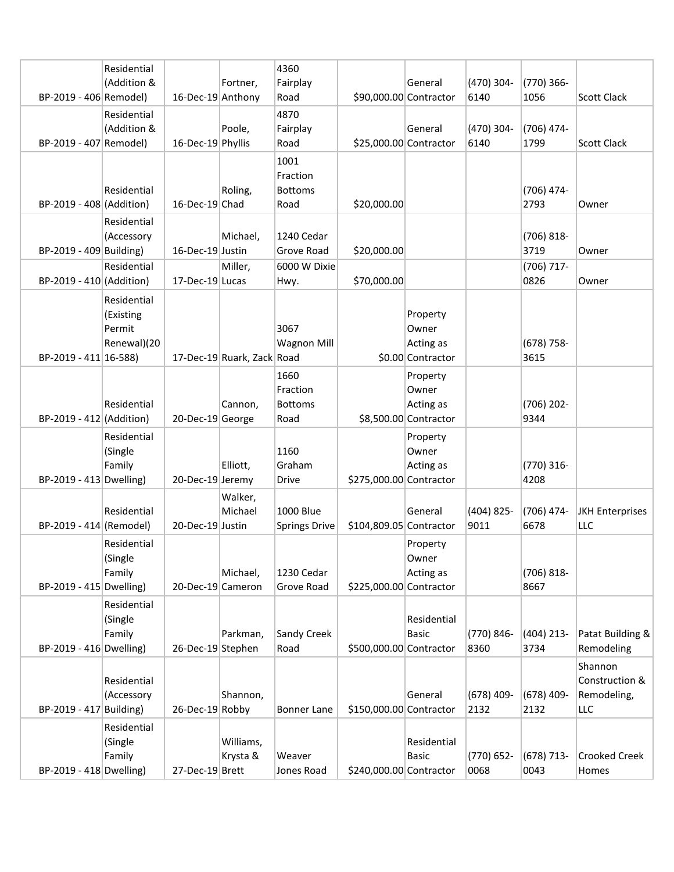|                          | Residential |                   |                            | 4360                       |                         |                                    |                    |                      |                                |
|--------------------------|-------------|-------------------|----------------------------|----------------------------|-------------------------|------------------------------------|--------------------|----------------------|--------------------------------|
|                          | (Addition & |                   | Fortner,                   | Fairplay                   |                         | General                            | (470) 304-         | (770) 366-           |                                |
| BP-2019 - 406 Remodel)   |             | 16-Dec-19 Anthony |                            | Road                       | \$90,000.00 Contractor  |                                    | 6140               | 1056                 | Scott Clack                    |
|                          | Residential |                   |                            | 4870                       |                         |                                    |                    |                      |                                |
|                          | (Addition & |                   | Poole,                     | Fairplay                   |                         | General                            | (470) 304-         | (706) 474-           |                                |
| BP-2019 - 407 Remodel)   |             | 16-Dec-19 Phyllis |                            | Road                       | \$25,000.00 Contractor  |                                    | 6140               | 1799                 | Scott Clack                    |
|                          |             |                   |                            | 1001                       |                         |                                    |                    |                      |                                |
|                          | Residential |                   | Roling,                    | Fraction<br><b>Bottoms</b> |                         |                                    |                    | (706) 474-           |                                |
| BP-2019 - 408 (Addition) |             | 16-Dec-19 Chad    |                            | Road                       | \$20,000.00             |                                    |                    | 2793                 | Owner                          |
|                          | Residential |                   |                            |                            |                         |                                    |                    |                      |                                |
|                          | (Accessory  |                   | Michael,                   | 1240 Cedar                 |                         |                                    |                    | $(706) 818 -$        |                                |
| BP-2019 - 409 Building)  |             | 16-Dec-19 Justin  |                            | Grove Road                 | \$20,000.00             |                                    |                    | 3719                 | Owner                          |
|                          | Residential |                   | Miller,                    | 6000 W Dixie               |                         |                                    |                    | (706) 717-           |                                |
| BP-2019 - 410 (Addition) |             | 17-Dec-19 Lucas   |                            | Hwy.                       | \$70,000.00             |                                    |                    | 0826                 | Owner                          |
|                          | Residential |                   |                            |                            |                         |                                    |                    |                      |                                |
|                          | (Existing   |                   |                            |                            |                         | Property                           |                    |                      |                                |
|                          | Permit      |                   |                            | 3067                       |                         | Owner                              |                    |                      |                                |
|                          | Renewal)(20 |                   |                            | <b>Wagnon Mill</b>         |                         | Acting as                          |                    | $(678)$ 758-         |                                |
| BP-2019 - 411 16-588)    |             |                   | 17-Dec-19 Ruark, Zack Road |                            |                         | \$0.00 Contractor                  |                    | 3615                 |                                |
|                          |             |                   |                            | 1660                       |                         | Property                           |                    |                      |                                |
|                          |             |                   |                            | Fraction<br><b>Bottoms</b> |                         | Owner                              |                    |                      |                                |
| BP-2019 - 412 (Addition) | Residential | 20-Dec-19 George  | Cannon,                    | Road                       |                         | Acting as<br>\$8,500.00 Contractor |                    | (706) 202-<br>9344   |                                |
|                          | Residential |                   |                            |                            |                         | Property                           |                    |                      |                                |
|                          | (Single     |                   |                            | 1160                       |                         | Owner                              |                    |                      |                                |
|                          | Family      |                   | Elliott,                   | Graham                     |                         | Acting as                          |                    | (770) 316-           |                                |
| BP-2019 - 413 Dwelling)  |             | 20-Dec-19 Jeremy  |                            | <b>Drive</b>               | \$275,000.00 Contractor |                                    |                    | 4208                 |                                |
|                          |             |                   | Walker,                    |                            |                         |                                    |                    |                      |                                |
|                          | Residential |                   | Michael                    | 1000 Blue                  |                         | General                            | $(404)$ 825-       | $(706)$ 474-         | JKH Enterprises                |
| BP-2019 - 414 (Remodel)  |             | 20-Dec-19 Justin  |                            | <b>Springs Drive</b>       | \$104,809.05 Contractor |                                    | 9011               | 6678                 | LLC                            |
|                          | Residential |                   |                            |                            |                         | Property                           |                    |                      |                                |
|                          | (Single     |                   |                            |                            |                         | Owner                              |                    |                      |                                |
|                          | Family      |                   | Michael,                   | 1230 Cedar                 |                         | Acting as                          |                    | $(706) 818 -$        |                                |
| BP-2019 - 415 Dwelling)  |             | 20-Dec-19 Cameron |                            | Grove Road                 | \$225,000.00 Contractor |                                    |                    | 8667                 |                                |
|                          | Residential |                   |                            |                            |                         |                                    |                    |                      |                                |
|                          | (Single     |                   |                            |                            |                         | Residential<br><b>Basic</b>        |                    |                      |                                |
| BP-2019 - 416 Dwelling)  | Family      | 26-Dec-19 Stephen | Parkman,                   | Sandy Creek<br>Road        | \$500,000.00 Contractor |                                    | (770) 846-<br>8360 | $(404)$ 213-<br>3734 | Patat Building &<br>Remodeling |
|                          |             |                   |                            |                            |                         |                                    |                    |                      | Shannon                        |
|                          | Residential |                   |                            |                            |                         |                                    |                    |                      | Construction &                 |
|                          | (Accessory  |                   | Shannon,                   |                            |                         | General                            | $(678)$ 409-       | $(678)$ 409-         | Remodeling,                    |
| BP-2019 - 417 Building)  |             | 26-Dec-19 Robby   |                            | <b>Bonner Lane</b>         | \$150,000.00 Contractor |                                    | 2132               | 2132                 | LLC                            |
|                          | Residential |                   |                            |                            |                         |                                    |                    |                      |                                |
|                          | (Single     |                   | Williams,                  |                            |                         | Residential                        |                    |                      |                                |
|                          | Family      |                   | Krysta &                   | Weaver                     |                         | <b>Basic</b>                       | $(770) 652 -$      | $(678) 713 -$        | Crooked Creek                  |
| BP-2019 - 418 Dwelling)  |             | 27-Dec-19 Brett   |                            | Jones Road                 | \$240,000.00 Contractor |                                    | 0068               | 0043                 | Homes                          |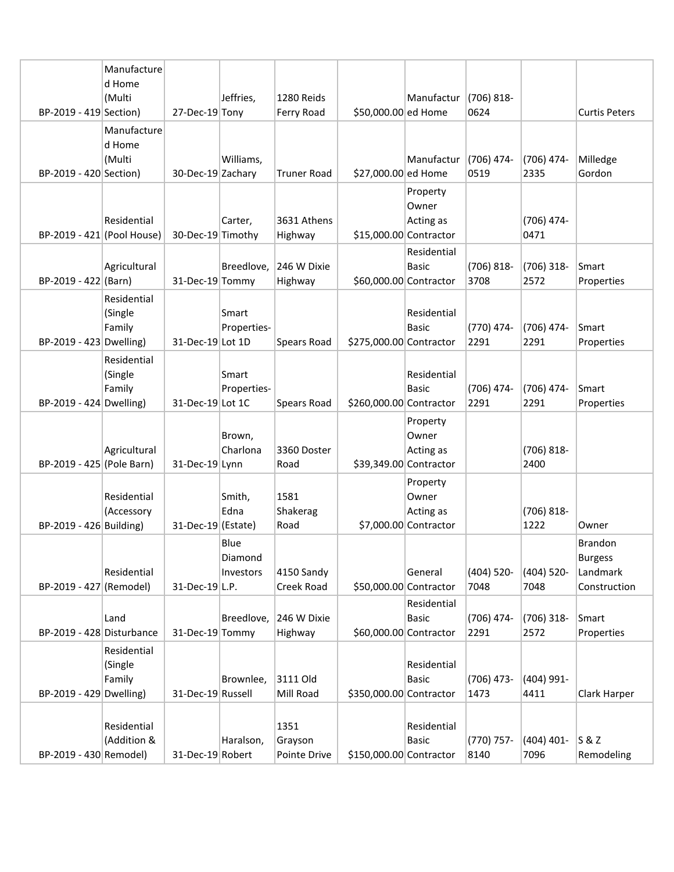|                            | Manufacture<br>d Home            |                       |                              |                                 |                         |                                                          |                       |                       |                                                              |
|----------------------------|----------------------------------|-----------------------|------------------------------|---------------------------------|-------------------------|----------------------------------------------------------|-----------------------|-----------------------|--------------------------------------------------------------|
|                            | (Multi                           |                       | Jeffries,                    | 1280 Reids                      |                         | Manufactur                                               | $(706)$ 818-          |                       |                                                              |
| BP-2019 - 419 Section)     |                                  | 27-Dec-19 Tony        |                              | Ferry Road                      | \$50,000.00 ed Home     |                                                          | 0624                  |                       | <b>Curtis Peters</b>                                         |
| BP-2019 - 420 Section)     | Manufacture<br>d Home<br>(Multi  | 30-Dec-19 Zachary     | Williams,                    | <b>Truner Road</b>              | \$27,000.00 ed Home     | Manufactur                                               | $(706)$ 474-<br>0519  | $(706)$ 474-<br>2335  | Milledge<br>Gordon                                           |
| BP-2019 - 421 (Pool House) | Residential                      | 30-Dec-19 Timothy     | Carter,                      | 3631 Athens<br>Highway          |                         | Property<br>Owner<br>Acting as<br>\$15,000.00 Contractor |                       | (706) 474-<br>0471    |                                                              |
| BP-2019 - 422 (Barn)       | Agricultural                     | 31-Dec-19 Tommy       | Breedlove.                   | 246 W Dixie<br>Highway          |                         | Residential<br><b>Basic</b><br>\$60,000.00 Contractor    | $(706) 818 -$<br>3708 | $(706)$ 318-<br>2572  | <b>Smart</b><br>Properties                                   |
| BP-2019 - 423 Dwelling)    | Residential<br>(Single<br>Family | 31-Dec-19 Lot 1D      | Smart<br>Properties-         | Spears Road                     | \$275,000.00 Contractor | Residential<br><b>Basic</b>                              | (770) 474-<br>2291    | $(706)$ 474-<br>2291  | Smart<br>Properties                                          |
| BP-2019 - 424 Dwelling)    | Residential<br>(Single<br>Family | 31-Dec-19 Lot 1C      | Smart<br>Properties-         | Spears Road                     | \$260,000.00 Contractor | Residential<br><b>Basic</b>                              | (706) 474-<br>2291    | (706) 474-<br>2291    | Smart<br>Properties                                          |
| BP-2019 - 425 (Pole Barn)  | Agricultural                     | 31-Dec-19 Lynn        | Brown,<br>Charlona           | 3360 Doster<br>Road             |                         | Property<br>Owner<br>Acting as<br>\$39,349.00 Contractor |                       | $(706) 818 -$<br>2400 |                                                              |
| BP-2019 - 426 Building)    | Residential<br>(Accessory        | $31$ -Dec-19 (Estate) | Smith,<br>Edna               | 1581<br>Shakerag<br>Road        |                         | Property<br>Owner<br>Acting as<br>\$7,000.00 Contractor  |                       | $(706) 818 -$<br>1222 | Owner                                                        |
| BP-2019 - 427 (Remodel)    | Residential                      | 31-Dec-19 L.P.        | Blue<br>Diamond<br>Investors | 4150 Sandy<br>Creek Road        |                         | General<br>\$50,000.00 Contractor                        | (404) 520-<br>7048    | $(404)$ 520-<br>7048  | <b>Brandon</b><br><b>Burgess</b><br>Landmark<br>Construction |
| BP-2019 - 428 Disturbance  | Land                             | 31-Dec-19 Tommy       | Breedlove,                   | 246 W Dixie<br>Highway          |                         | Residential<br><b>Basic</b><br>\$60,000.00 Contractor    | (706) 474-<br>2291    | $(706)$ 318-<br>2572  | Smart<br>Properties                                          |
| BP-2019 - 429 Dwelling)    | Residential<br>(Single<br>Family | 31-Dec-19 Russell     | Brownlee,                    | 3111 Old<br>Mill Road           | \$350,000.00 Contractor | Residential<br>Basic                                     | $(706)$ 473-<br>1473  | $(404)$ 991-<br>4411  | Clark Harper                                                 |
| BP-2019 - 430 Remodel)     | Residential<br>(Addition &       | 31-Dec-19 Robert      | Haralson,                    | 1351<br>Grayson<br>Pointe Drive | \$150,000.00 Contractor | Residential<br><b>Basic</b>                              | (770) 757-<br>8140    | $(404)$ 401-<br>7096  | S & Z<br>Remodeling                                          |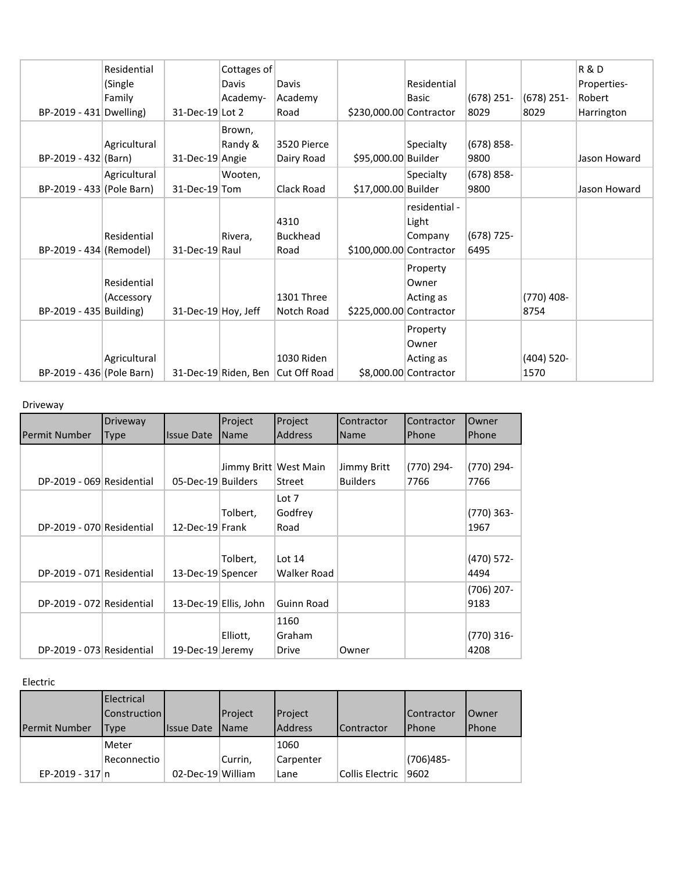|                           | Residential  |                     | Cottages of |                                   |                         |                       |              |              | <b>R&amp;D</b> |
|---------------------------|--------------|---------------------|-------------|-----------------------------------|-------------------------|-----------------------|--------------|--------------|----------------|
|                           | (Single      |                     | Davis       | Davis                             |                         | Residential           |              |              | Properties-    |
|                           | Family       |                     | Academy-    | Academy                           |                         | <b>Basic</b>          | $(678)$ 251- | $(678)$ 251- | Robert         |
| BP-2019 - 431 Dwelling)   |              | 31-Dec-19 Lot 2     |             | Road                              | \$230,000.00 Contractor |                       | 8029         | 8029         | Harrington     |
|                           |              |                     | Brown,      |                                   |                         |                       |              |              |                |
|                           | Agricultural |                     | Randy &     | 3520 Pierce                       |                         | Specialty             | $(678)$ 858- |              |                |
| BP-2019 - 432 (Barn)      |              | 31-Dec-19 Angie     |             | Dairy Road                        | \$95,000.00 Builder     |                       | 9800         |              | Jason Howard   |
|                           | Agricultural |                     | Wooten,     |                                   |                         | Specialty             | $(678)$ 858- |              |                |
| BP-2019 - 433 (Pole Barn) |              | 31-Dec-19 Tom       |             | Clack Road                        | \$17,000.00 Builder     |                       | 9800         |              | Jason Howard   |
|                           |              |                     |             |                                   |                         | residential -         |              |              |                |
|                           |              |                     |             | 4310                              |                         | Light                 |              |              |                |
|                           | Residential  |                     | Rivera,     | <b>Buckhead</b>                   |                         | Company               | (678) 725-   |              |                |
| BP-2019 - 434 (Remodel)   |              | 31-Dec-19 Raul      |             | Road                              | \$100,000.00 Contractor |                       | 6495         |              |                |
|                           |              |                     |             |                                   |                         | Property              |              |              |                |
|                           | Residential  |                     |             |                                   |                         | Owner                 |              |              |                |
|                           | (Accessory   |                     |             | 1301 Three                        |                         | Acting as             |              | $(770)$ 408- |                |
| BP-2019 - 435 Building)   |              | 31-Dec-19 Hoy, Jeff |             | Notch Road                        | \$225,000.00 Contractor |                       |              | 8754         |                |
|                           |              |                     |             |                                   |                         | Property              |              |              |                |
|                           |              |                     |             |                                   |                         | Owner                 |              |              |                |
|                           | Agricultural |                     |             | 1030 Riden                        |                         | Acting as             |              | $(404)$ 520- |                |
| BP-2019 - 436 (Pole Barn) |              |                     |             | 31-Dec-19 Riden, Ben Cut Off Road |                         | \$8,000.00 Contractor |              | 1570         |                |

Driveway

|                           | Driveway |                       | Project                 | Project          | Contractor      | Contractor | Owner                |
|---------------------------|----------|-----------------------|-------------------------|------------------|-----------------|------------|----------------------|
| lPermit Number            | Type     | Issue Date            | Name                    | <b>Address</b>   | Name            | Phone      | <b>Phone</b>         |
|                           |          |                       |                         |                  |                 |            |                      |
|                           |          |                       | Jimmy Britt   West Main |                  | Jimmy Britt     | (770) 294- | (770) 294-           |
| DP-2019 - 069 Residential |          | 05-Dec-19 Builders    |                         | Street           | <b>Builders</b> | 7766       | 7766                 |
|                           |          |                       | Tolbert,                | Lot 7<br>Godfrey |                 |            | $(770)$ 363-         |
| DP-2019 - 070 Residential |          | 12-Dec-19 Frank       |                         | Road             |                 |            | 1967                 |
|                           |          |                       |                         |                  |                 |            |                      |
|                           |          |                       | Tolbert,                | Lot $14$         |                 |            | (470) 572-           |
| DP-2019 - 071 Residential |          | 13-Dec-19 Spencer     |                         | Walker Road      |                 |            | 4494                 |
| DP-2019 - 072 Residential |          | 13-Dec-19 Ellis, John |                         | Guinn Road       |                 |            | $(706)$ 207-<br>9183 |
|                           |          |                       |                         |                  |                 |            |                      |
|                           |          |                       | Elliott,                | 1160<br>Graham   |                 |            | $(770)$ 316-         |
| DP-2019 - 073 Residential |          | 19-Dec-19 Jeremy      |                         | Drive            | Owner           |            | 4208                 |

Electric

|                      | <b>Electrical</b>   |                   |              |                |                 |                   |               |
|----------------------|---------------------|-------------------|--------------|----------------|-----------------|-------------------|---------------|
|                      | <b>Construction</b> |                   | Project      | Project        |                 | <b>Contractor</b> | <b>IOwner</b> |
| <b>Permit Number</b> | Type                | <b>Issue Date</b> | <b>IName</b> | <b>Address</b> | Contractor      | <b>IPhone</b>     | <b>Phone</b>  |
|                      | Meter               |                   |              | 1060           |                 |                   |               |
|                      | Reconnectio         |                   | Currin,      | Carpenter      |                 | $(706)485 -$      |               |
| EP-2019 - 317 n      |                     | 02-Dec-19 William |              | Lane           | Collis Electric | 9602              |               |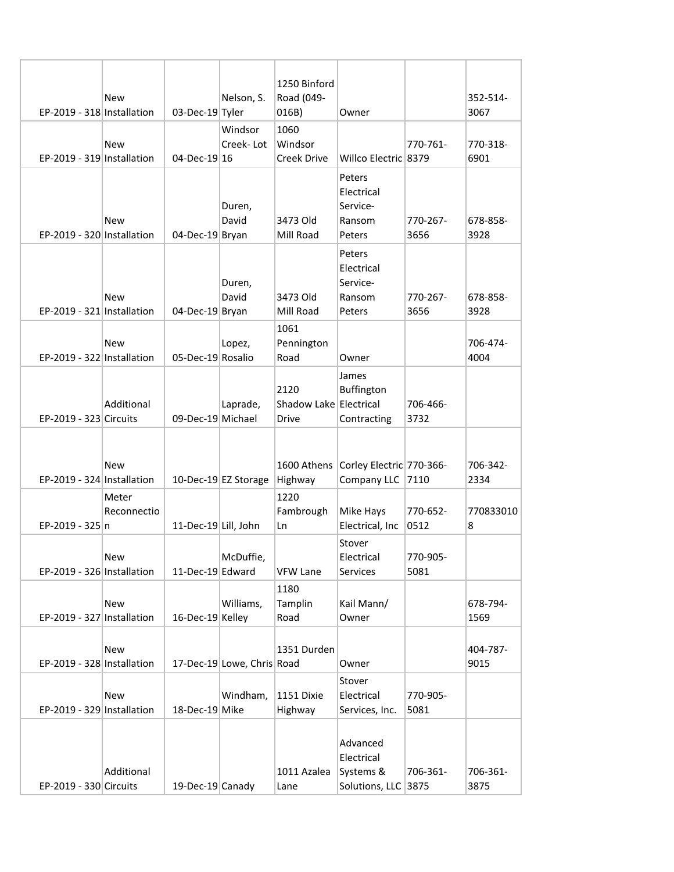|                            |             |                      |                            | 1250 Binford           |                                      |          | 352-514-  |
|----------------------------|-------------|----------------------|----------------------------|------------------------|--------------------------------------|----------|-----------|
|                            | <b>New</b>  |                      | Nelson, S.                 | Road (049-             |                                      |          |           |
| EP-2019 - 318 Installation |             | 03-Dec-19 Tyler      |                            | 016B)                  | Owner                                |          | 3067      |
|                            |             |                      | Windsor                    | 1060                   |                                      |          |           |
|                            | <b>New</b>  |                      | Creek-Lot                  | Windsor                |                                      | 770-761- | 770-318-  |
| EP-2019 - 319 Installation |             | 04-Dec-19 16         |                            | Creek Drive            | Willco Electric 8379                 |          | 6901      |
|                            |             |                      |                            |                        | Peters                               |          |           |
|                            |             |                      |                            |                        | Electrical                           |          |           |
|                            |             |                      | Duren,                     |                        | Service-                             |          |           |
|                            | <b>New</b>  |                      | David                      | 3473 Old               | Ransom                               | 770-267- | 678-858-  |
| EP-2019 - 320 Installation |             | 04-Dec-19 Bryan      |                            | Mill Road              | Peters                               | 3656     | 3928      |
|                            |             |                      |                            |                        | Peters                               |          |           |
|                            |             |                      |                            |                        | Electrical                           |          |           |
|                            |             |                      |                            |                        | Service-                             |          |           |
|                            | <b>New</b>  |                      | Duren,<br>David            | 3473 Old               | Ransom                               | 770-267- | 678-858-  |
| EP-2019 - 321 Installation |             | 04-Dec-19 Bryan      |                            | Mill Road              | Peters                               | 3656     | 3928      |
|                            |             |                      |                            |                        |                                      |          |           |
|                            |             |                      |                            | 1061                   |                                      |          |           |
|                            | <b>New</b>  |                      | Lopez,                     | Pennington             |                                      |          | 706-474-  |
| EP-2019 - 322 Installation |             | 05-Dec-19 Rosalio    |                            | Road                   | Owner                                |          | 4004      |
|                            |             |                      |                            |                        | James                                |          |           |
|                            |             |                      |                            | 2120                   | Buffington                           |          |           |
|                            | Additional  |                      | Laprade,                   | Shadow Lake Electrical |                                      | 706-466- |           |
| EP-2019 - 323 Circuits     |             | 09-Dec-19 Michael    |                            | <b>Drive</b>           | Contracting                          | 3732     |           |
|                            |             |                      |                            |                        |                                      |          |           |
|                            |             |                      |                            |                        |                                      |          |           |
|                            | <b>New</b>  |                      |                            |                        | 1600 Athens Corley Electric 770-366- |          | 706-342-  |
| EP-2019 - 324 Installation |             |                      | 10-Dec-19 EZ Storage       | Highway                | Company LLC                          | 7110     | 2334      |
|                            | Meter       |                      |                            | 1220                   |                                      |          |           |
|                            | Reconnectio |                      |                            | Fambrough              | Mike Hays                            | 770-652- | 770833010 |
| EP-2019 - 325 n            |             | 11-Dec-19 Lill, John |                            | Ln                     | Electrical, Inc                      | 0512     | 8         |
|                            |             |                      |                            |                        | Stover                               |          |           |
|                            | New         |                      | McDuffie,                  |                        | Electrical                           | 770-905- |           |
| EP-2019 - 326 Installation |             | 11-Dec-19 Edward     |                            | <b>VFW Lane</b>        | Services                             | 5081     |           |
|                            |             |                      |                            |                        |                                      |          |           |
|                            |             |                      |                            | 1180                   |                                      |          |           |
|                            | New         |                      | Williams,                  | Tamplin                | Kail Mann/                           |          | 678-794-  |
| EP-2019 - 327 Installation |             | 16-Dec-19 Kelley     |                            | Road                   | Owner                                |          | 1569      |
|                            |             |                      |                            |                        |                                      |          |           |
|                            | <b>New</b>  |                      |                            | 1351 Durden            |                                      |          | 404-787-  |
| EP-2019 - 328 Installation |             |                      | 17-Dec-19 Lowe, Chris Road |                        | Owner                                |          | 9015      |
|                            |             |                      |                            |                        | Stover                               |          |           |
|                            | <b>New</b>  |                      | Windham,                   | 1151 Dixie             | Electrical                           | 770-905- |           |
| EP-2019 - 329 Installation |             | 18-Dec-19 Mike       |                            | Highway                | Services, Inc.                       | 5081     |           |
|                            |             |                      |                            |                        |                                      |          |           |
|                            |             |                      |                            |                        | Advanced                             |          |           |
|                            |             |                      |                            |                        | Electrical                           |          |           |
|                            | Additional  |                      |                            | 1011 Azalea            | Systems &                            | 706-361- | 706-361-  |
| EP-2019 - 330 Circuits     |             | 19-Dec-19 Canady     |                            | Lane                   | Solutions, LLC 3875                  |          | 3875      |
|                            |             |                      |                            |                        |                                      |          |           |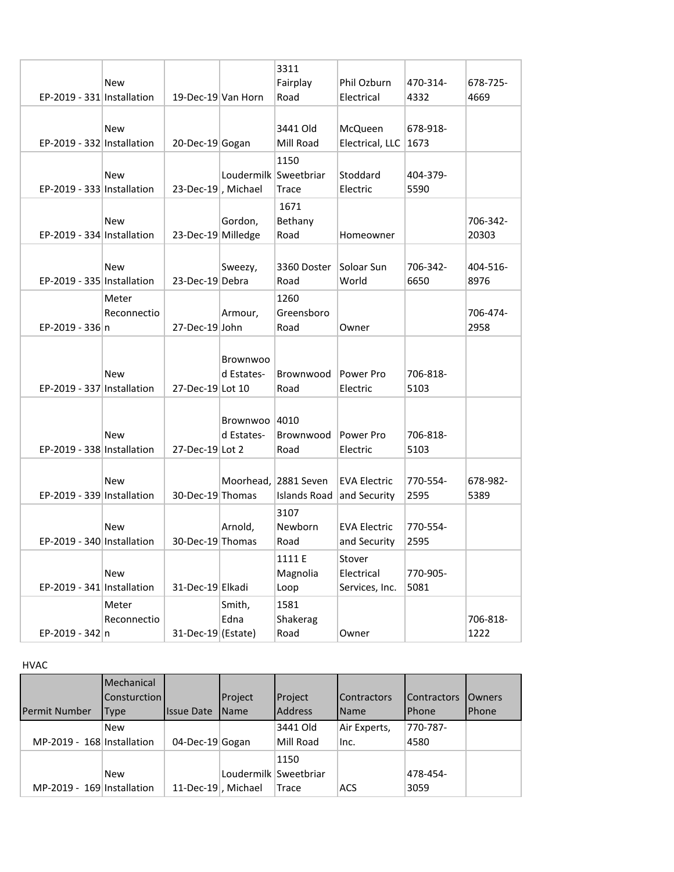|                            |             |                       |                       | 3311         |                     |          |          |
|----------------------------|-------------|-----------------------|-----------------------|--------------|---------------------|----------|----------|
|                            | <b>New</b>  |                       |                       | Fairplay     | Phil Ozburn         | 470-314- | 678-725- |
| EP-2019 - 331 Installation |             | 19-Dec-19 Van Horn    |                       | Road         | Electrical          | 4332     | 4669     |
|                            |             |                       |                       |              |                     |          |          |
|                            | <b>New</b>  |                       |                       | 3441 Old     | McQueen             | 678-918- |          |
| EP-2019 - 332 Installation |             |                       |                       | Mill Road    |                     | 1673     |          |
|                            |             | 20-Dec-19 Gogan       |                       |              | Electrical, LLC     |          |          |
|                            |             |                       |                       | 1150         |                     |          |          |
|                            | <b>New</b>  |                       | Loudermilk Sweetbriar |              | Stoddard            | 404-379- |          |
| EP-2019 - 333 Installation |             | 23-Dec-19, Michael    |                       | Trace        | Electric            | 5590     |          |
|                            |             |                       |                       | 1671         |                     |          |          |
|                            | <b>New</b>  |                       | Gordon,               | Bethany      |                     |          | 706-342- |
| EP-2019 - 334 Installation |             | 23-Dec-19 Milledge    |                       | Road         | Homeowner           |          | 20303    |
|                            |             |                       |                       |              |                     |          |          |
|                            | <b>New</b>  |                       | Sweezy,               | 3360 Doster  | Soloar Sun          | 706-342- | 404-516- |
| EP-2019 - 335 Installation |             | 23-Dec-19 Debra       |                       | Road         | World               | 6650     | 8976     |
|                            |             |                       |                       |              |                     |          |          |
|                            | Meter       |                       |                       | 1260         |                     |          |          |
|                            | Reconnectio |                       | Armour,               | Greensboro   |                     |          | 706-474- |
| EP-2019 - 336 n            |             | 27-Dec-19 John        |                       | Road         | Owner               |          | 2958     |
|                            |             |                       |                       |              |                     |          |          |
|                            |             |                       | <b>Brownwoo</b>       |              |                     |          |          |
|                            | <b>New</b>  |                       | d Estates-            | Brownwood    | Power Pro           | 706-818- |          |
| EP-2019 - 337 Installation |             | 27-Dec-19 Lot 10      |                       | Road         | Electric            | 5103     |          |
|                            |             |                       |                       |              |                     |          |          |
|                            |             |                       | Brownwoo              | 4010         |                     |          |          |
|                            | <b>New</b>  |                       | d Estates-            | Brownwood    | Power Pro           | 706-818- |          |
| EP-2019 - 338 Installation |             | 27-Dec-19 Lot 2       |                       | Road         | Electric            | 5103     |          |
|                            |             |                       |                       |              |                     |          |          |
|                            |             |                       |                       |              |                     |          |          |
|                            | <b>New</b>  |                       | Moorhead,             | 2881 Seven   | <b>EVA Electric</b> | 770-554- | 678-982- |
| EP-2019 - 339 Installation |             | 30-Dec-19 Thomas      |                       | Islands Road | and Security        | 2595     | 5389     |
|                            |             |                       |                       | 3107         |                     |          |          |
|                            | <b>New</b>  |                       | Arnold,               | Newborn      | <b>EVA Electric</b> | 770-554- |          |
| EP-2019 - 340 Installation |             | 30-Dec-19 Thomas      |                       | Road         | and Security        | 2595     |          |
|                            |             |                       |                       | 1111 E       | Stover              |          |          |
|                            | <b>New</b>  |                       |                       | Magnolia     | Electrical          | 770-905- |          |
| EP-2019 - 341 Installation |             | 31-Dec-19 Elkadi      |                       | Loop         | Services, Inc.      | 5081     |          |
|                            |             |                       |                       |              |                     |          |          |
|                            | Meter       |                       | Smith,                | 1581         |                     |          |          |
|                            | Reconnectio |                       | Edna                  | Shakerag     |                     |          | 706-818- |
| EP-2019 - 342 n            |             | $31$ -Dec-19 (Estate) |                       | Road         | Owner               |          | 1222     |
|                            |             |                       |                       |              |                     |          |          |

HVAC

| <b>Permit Number</b>       | <b>IMechanical</b><br><b>Consturction</b><br>Type | <b>Issue Date</b>  | Project<br><b>IName</b> | Project<br><b>Address</b> | <b>Contractors</b><br><b>Name</b> | <b>Contractors</b><br><b>Phone</b> | <b>IOwners</b><br><b>IPhone</b> |
|----------------------------|---------------------------------------------------|--------------------|-------------------------|---------------------------|-----------------------------------|------------------------------------|---------------------------------|
| MP-2019 - 168 Installation | <b>New</b>                                        | 04-Dec-19 Gogan    |                         | 3441 Old<br>Mill Road     | Air Experts,<br>Inc.              | 770-787-<br>4580                   |                                 |
| MP-2019 - 169 Installation | <b>New</b>                                        | 11-Dec-19, Michael | Loudermilk Sweetbriar   | 1150<br>Trace             | <b>ACS</b>                        | 478-454-<br>3059                   |                                 |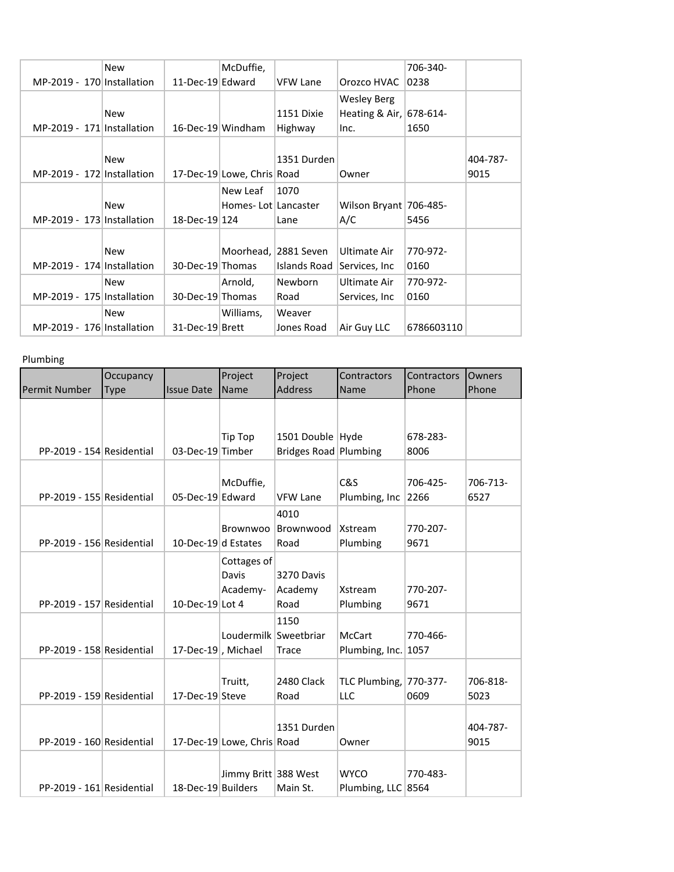|                            | <b>New</b> |                   | McDuffie,                  |                |                        | 706-340-   |          |
|----------------------------|------------|-------------------|----------------------------|----------------|------------------------|------------|----------|
| MP-2019 - 170 Installation |            | 11-Dec-19 Edward  |                            | VFW Lane       | Orozco HVAC            | 0238       |          |
|                            |            |                   |                            |                | <b>Wesley Berg</b>     |            |          |
|                            | <b>New</b> |                   |                            | 1151 Dixie     | Heating & Air,         | 678-614-   |          |
| MP-2019 - 171 Installation |            | 16-Dec-19 Windham |                            | Highway        | Inc.                   | 1650       |          |
|                            |            |                   |                            |                |                        |            |          |
|                            | <b>New</b> |                   |                            | 1351 Durden    |                        |            | 404-787- |
| MP-2019 - 172 Installation |            |                   | 17-Dec-19 Lowe, Chris Road |                | Owner                  |            | 9015     |
|                            |            |                   | New Leaf                   | 1070           |                        |            |          |
|                            | <b>New</b> |                   | Homes-Lot Lancaster        |                | Wilson Bryant 706-485- |            |          |
| MP-2019 - 173 Installation |            | 18-Dec-19 124     |                            | Lane           | A/C                    | 5456       |          |
|                            |            |                   |                            |                |                        |            |          |
|                            | <b>New</b> |                   | Moorhead,                  | 2881 Seven     | Ultimate Air           | 770-972-   |          |
| MP-2019 - 174 Installation |            | 30-Dec-19 Thomas  |                            | Islands Road   | Services, Inc.         | 0160       |          |
|                            | <b>New</b> |                   | Arnold,                    | <b>Newborn</b> | Ultimate Air           | 770-972-   |          |
| MP-2019 - 175 Installation |            | 30-Dec-19 Thomas  |                            | Road           | Services, Inc.         | 0160       |          |
|                            | <b>New</b> |                   | Williams,                  | Weaver         |                        |            |          |
| MP-2019 - 176 Installation |            | 31-Dec-19 Brett   |                            | Jones Road     | Air Guy LLC            | 6786603110 |          |
|                            |            |                   |                            |                |                        |            |          |

## Plumbing

|                           | Occupancy   |                    | Project                          | Project                                       | Contractors                       | Contractors      | Owners           |
|---------------------------|-------------|--------------------|----------------------------------|-----------------------------------------------|-----------------------------------|------------------|------------------|
| <b>Permit Number</b>      | <b>Type</b> | <b>Issue Date</b>  | Name                             | <b>Address</b>                                | Name                              | Phone            | Phone            |
|                           |             |                    | Tip Top                          | 1501 Double Hyde                              |                                   | 678-283-         |                  |
| PP-2019 - 154 Residential |             | 03-Dec-19 Timber   |                                  | Bridges Road Plumbing                         |                                   | 8006             |                  |
| PP-2019 - 155 Residential |             | 05-Dec-19 Edward   | McDuffie,                        | <b>VFW Lane</b>                               | C&S<br>Plumbing, Inc              | 706-425-<br>2266 | 706-713-<br>6527 |
| PP-2019 - 156 Residential |             | 10-Dec-19d Estates | Brownwoo                         | 4010<br>Brownwood<br>Road                     | Xstream<br>Plumbing               | 770-207-<br>9671 |                  |
| PP-2019 - 157 Residential |             | 10-Dec-19 Lot 4    | Cottages of<br>Davis<br>Academy- | 3270 Davis<br>Academy<br>Road                 | Xstream<br>Plumbing               | 770-207-<br>9671 |                  |
| PP-2019 - 158 Residential |             | 17-Dec-19, Michael |                                  | 1150<br>Loudermilk Sweetbriar<br><b>Trace</b> | <b>McCart</b><br>Plumbing, Inc.   | 770-466-<br>1057 |                  |
| PP-2019 - 159 Residential |             | 17-Dec-19 Steve    | Truitt,                          | 2480 Clack<br>Road                            | TLC Plumbing, 770-377-<br>LLC     | 0609             | 706-818-<br>5023 |
| PP-2019 - 160 Residential |             |                    | 17-Dec-19 Lowe, Chris Road       | 1351 Durden                                   | Owner                             |                  | 404-787-<br>9015 |
| PP-2019 - 161 Residential |             | 18-Dec-19 Builders | Jimmy Britt 388 West             | Main St.                                      | <b>WYCO</b><br>Plumbing, LLC 8564 | 770-483-         |                  |